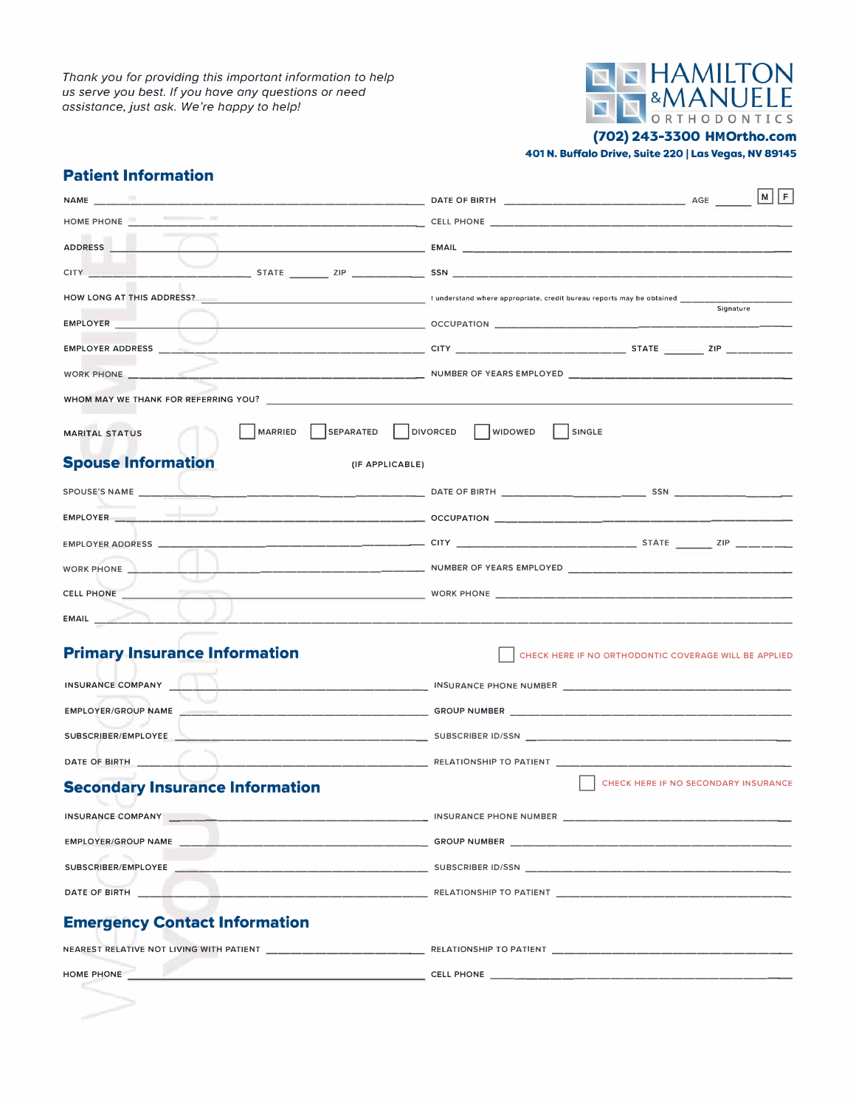*Thank you for providing this important information to help us serve you best. If you have any questions or need assistance.just ask. We're happy to help!* 



**(702) 243-3300 HMOrtho.com**

**401 N. Buffalo Drive, Suite 220 I Las Vegas, NV 89145** 

## **Patient Information**

|                                                                                                                                                                                                                                      | $M$ $F$                                                                      |
|--------------------------------------------------------------------------------------------------------------------------------------------------------------------------------------------------------------------------------------|------------------------------------------------------------------------------|
|                                                                                                                                                                                                                                      |                                                                              |
| <b>ADDRESS</b>                                                                                                                                                                                                                       |                                                                              |
| <b>CITY CITY</b>                                                                                                                                                                                                                     |                                                                              |
|                                                                                                                                                                                                                                      | Signature                                                                    |
| EMPLOYER <b>EMPLOYER</b>                                                                                                                                                                                                             |                                                                              |
|                                                                                                                                                                                                                                      |                                                                              |
|                                                                                                                                                                                                                                      |                                                                              |
| WHOM MAY WE THANK FOR REFERRING YOU?                                                                                                                                                                                                 |                                                                              |
| <b>MARRIED</b><br><b>MARITAL STATUS</b><br><b>Spouse Information</b><br>(IF APPLICABLE)                                                                                                                                              | SEPARATED   DIVORCED   WIDOWED   SINGLE                                      |
|                                                                                                                                                                                                                                      |                                                                              |
|                                                                                                                                                                                                                                      |                                                                              |
|                                                                                                                                                                                                                                      |                                                                              |
| WORK PHONE _________                                                                                                                                                                                                                 |                                                                              |
|                                                                                                                                                                                                                                      |                                                                              |
| EMAIL <b>And Street Street Street Street Street Street Street Street Street Street Street Street Street Street Street Street Street Street Street Street Street Street Street Street Street Street Street Street Street Street S</b> |                                                                              |
| <b>Primary Insurance Information</b>                                                                                                                                                                                                 | CHECK HERE IF NO ORTHODONTIC COVERAGE WILL BE APPLIED                        |
| INSURANCE COMPANY                                                                                                                                                                                                                    |                                                                              |
|                                                                                                                                                                                                                                      |                                                                              |
|                                                                                                                                                                                                                                      |                                                                              |
|                                                                                                                                                                                                                                      |                                                                              |
| <b>Secondary Insurance Information</b>                                                                                                                                                                                               | <b>CHECK HERE IF NO SECONDARY INSURANCE</b>                                  |
| INSURANCE COMPANY ______                                                                                                                                                                                                             | INSURANCE PHONE NUMBER                                                       |
|                                                                                                                                                                                                                                      |                                                                              |
|                                                                                                                                                                                                                                      |                                                                              |
|                                                                                                                                                                                                                                      | DATE OF BIRTH <b>Example 2008 CONTROLLER CONTROL</b> RELATIONSHIP TO PATIENT |
| <b>Emergency Contact Information</b>                                                                                                                                                                                                 |                                                                              |
|                                                                                                                                                                                                                                      |                                                                              |
| HOME PHONE <b>And the contract of the contract of the contract of the contract of the contract of the contract of the contract of the contract of the contract of the contract of the contract of the contract of the contract o</b> |                                                                              |
|                                                                                                                                                                                                                                      |                                                                              |